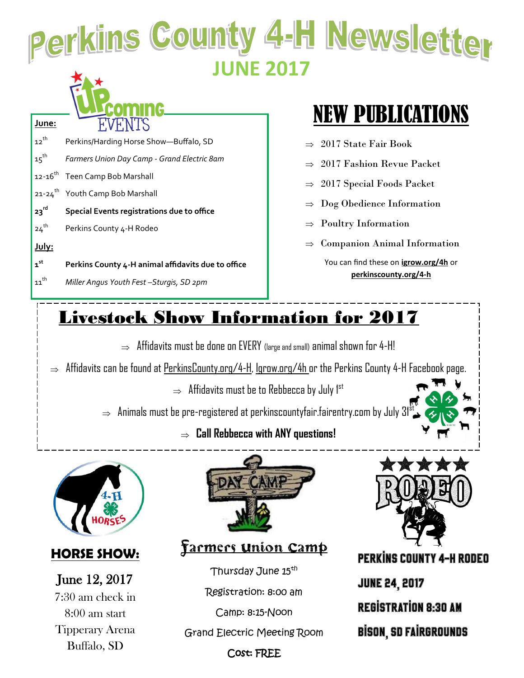## Perkins County 4-H Newsletter **JUNE 2017**

| L<br>п.   |
|-----------|
| ---<br>U. |

12<sup>th</sup> Perkins/Harding Horse Show-Buffalo, SD 15th *Farmers Union Day Camp - Grand Electric 8am* 12-16<sup>th</sup> Teen Camp Bob Marshall

- 21-24<sup>th</sup> Youth Camp Bob Marshall
- **23rd Special Events registrations due to office**
- 24<sup>th</sup> Perkins County 4-H Rodeo

#### **July:**

**June:**

- **1 st Perkins County 4-H animal affidavits due to office**
- 11th *Miller Angus Youth Fest –Sturgis, SD 2pm*

## NEW PUBLICATIONS

- $\Rightarrow$  2017 State Fair Book
- 2017 Fashion Revue Packet
- 2017 Special Foods Packet
- Dog Obedience Information
- Poultry Information
- $\Rightarrow$  Companion Animal Information

You can find these on **igrow.org/4h** or **perkinscounty.org/4-h**

## Livestock Show Information for 2017

- $\Rightarrow$  Affidavits must be done on EVERY (large and small) animal shown for 4-H!
- $\Rightarrow$  Affidavits can be found at PerkinsCounty.org/4-H, Igrow.org/4h or the Perkins County 4-H Facebook page.
	- $\Rightarrow$  Affidavits must be to Rebbecca by July  $1^{st}$

 $\Rightarrow$  Animals must be pre-registered at perkinscountyfair.fairentry.com by July  $31^{\frac{1}{3}}$ 

**Call Rebbecca with ANY questions!**



### **HORSE SHOW:**

June 12, 2017 7:30 am check in 8:00 am start Tipperary Arena Buffalo, SD



<u>Farmers union Camp</u>

Thursday June 15<sup>th</sup>

Registration: 8:00 am

Camp: 8:15-Noon

Grand Electric Meeting Room



**PERKINS COUNTY 4-H RODEO JUNE 24, 2017 REGISTRATION 8:30 AM BISON, SD FAIRGROUNDS** 

#### Cost: FREE